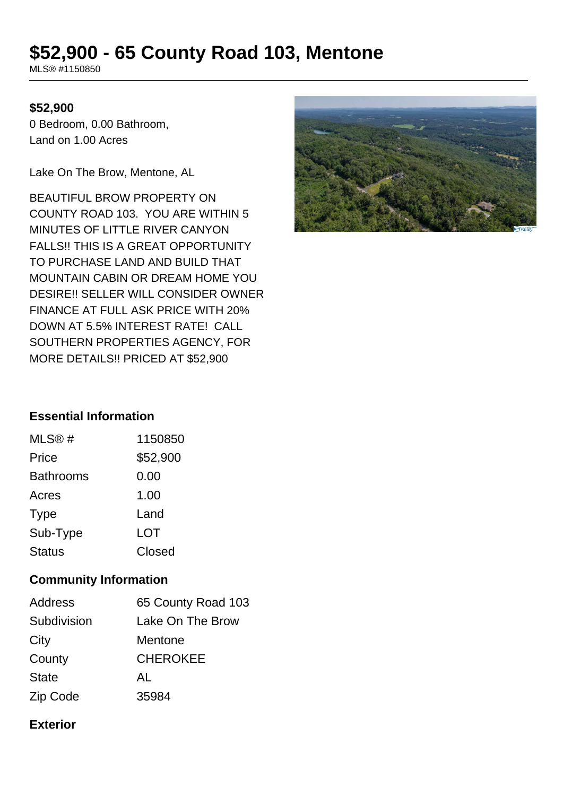# **\$52,900 - 65 County Road 103, Mentone**

MLS® #1150850

#### **\$52,900**

0 Bedroom, 0.00 Bathroom, Land on 1.00 Acres

Lake On The Brow, Mentone, AL

BEAUTIFUL BROW PROPERTY ON COUNTY ROAD 103. YOU ARE WITHIN 5 MINUTES OF LITTLE RIVER CANYON FALLS!! THIS IS A GREAT OPPORTUNITY TO PURCHASE LAND AND BUILD THAT MOUNTAIN CABIN OR DREAM HOME YOU DESIRE!! SELLER WILL CONSIDER OWNER FINANCE AT FULL ASK PRICE WITH 20% DOWN AT 5.5% INTEREST RATE! CALL SOUTHERN PROPERTIES AGENCY, FOR MORE DETAILS!! PRICED AT \$52,900



## **Essential Information**

| MLS@#            | 1150850  |
|------------------|----------|
| Price            | \$52,900 |
| <b>Bathrooms</b> | 0.00     |
| Acres            | 1.00     |
| <b>Type</b>      | Land     |
| Sub-Type         | LOT      |
| <b>Status</b>    | Closed   |

#### **Community Information**

| <b>Address</b> | 65 County Road 103 |
|----------------|--------------------|
| Subdivision    | Lake On The Brow   |
| City           | Mentone            |
| County         | <b>CHEROKEE</b>    |
| <b>State</b>   | AL                 |
| Zip Code       | 35984              |

#### **Exterior**